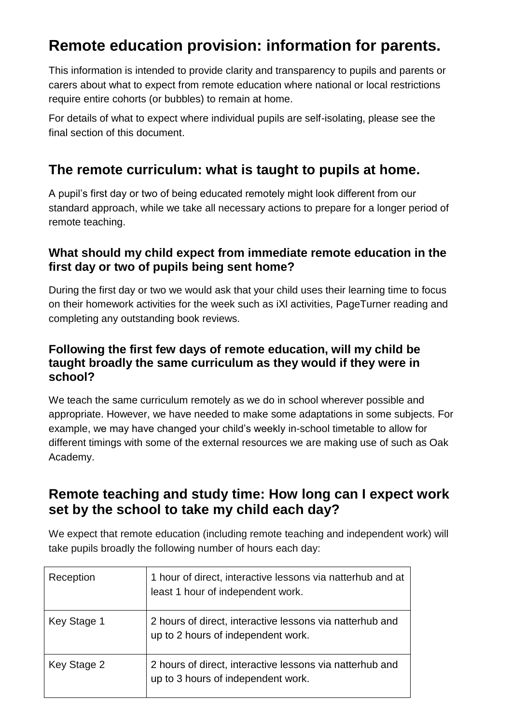# **Remote education provision: information for parents.**

This information is intended to provide clarity and transparency to pupils and parents or carers about what to expect from remote education where national or local restrictions require entire cohorts (or bubbles) to remain at home.

For details of what to expect where individual pupils are self-isolating, please see the final section of this document.

### **The remote curriculum: what is taught to pupils at home.**

A pupil's first day or two of being educated remotely might look different from our standard approach, while we take all necessary actions to prepare for a longer period of remote teaching.

#### **What should my child expect from immediate remote education in the first day or two of pupils being sent home?**

During the first day or two we would ask that your child uses their learning time to focus on their homework activities for the week such as iXl activities, PageTurner reading and completing any outstanding book reviews.

#### **Following the first few days of remote education, will my child be taught broadly the same curriculum as they would if they were in school?**

We teach the same curriculum remotely as we do in school wherever possible and appropriate. However, we have needed to make some adaptations in some subjects. For example, we may have changed your child's weekly in-school timetable to allow for different timings with some of the external resources we are making use of such as Oak Academy.

### **Remote teaching and study time: How long can I expect work set by the school to take my child each day?**

We expect that remote education (including remote teaching and independent work) will take pupils broadly the following number of hours each day:

| Reception   | 1 hour of direct, interactive lessons via natterhub and at<br>least 1 hour of independent work. |
|-------------|-------------------------------------------------------------------------------------------------|
| Key Stage 1 | 2 hours of direct, interactive lessons via natterhub and<br>up to 2 hours of independent work.  |
| Key Stage 2 | 2 hours of direct, interactive lessons via natterhub and<br>up to 3 hours of independent work.  |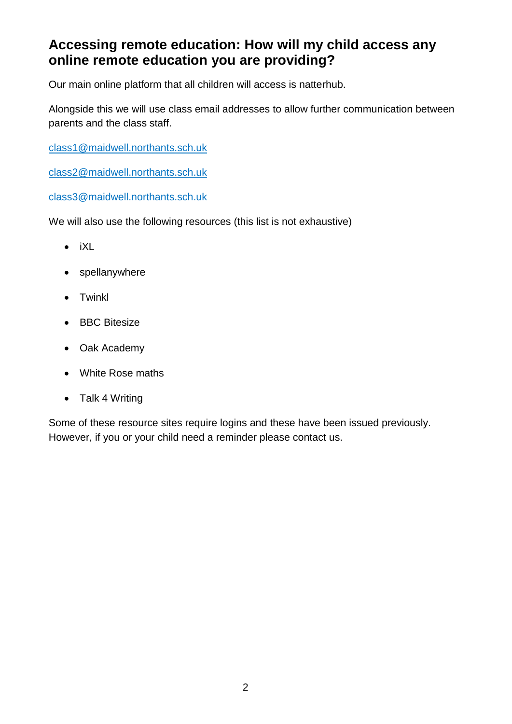### **Accessing remote education: How will my child access any online remote education you are providing?**

Our main online platform that all children will access is natterhub.

Alongside this we will use class email addresses to allow further communication between parents and the class staff.

[class1@maidwell.northants.sch.uk](mailto:class1@maidwell.northants.sch.uk)

[class2@maidwell.northants.sch.uk](mailto:class2@maidwell.northants.sch.uk)

[class3@maidwell.northants.sch.uk](mailto:class3@maidwell.northants.sch.uk)

We will also use the following resources (this list is not exhaustive)

- $\bullet$  iXL
- spellanywhere
- Twinkl
- BBC Bitesize
- Oak Academy
- White Rose maths
- Talk 4 Writing

Some of these resource sites require logins and these have been issued previously. However, if you or your child need a reminder please contact us.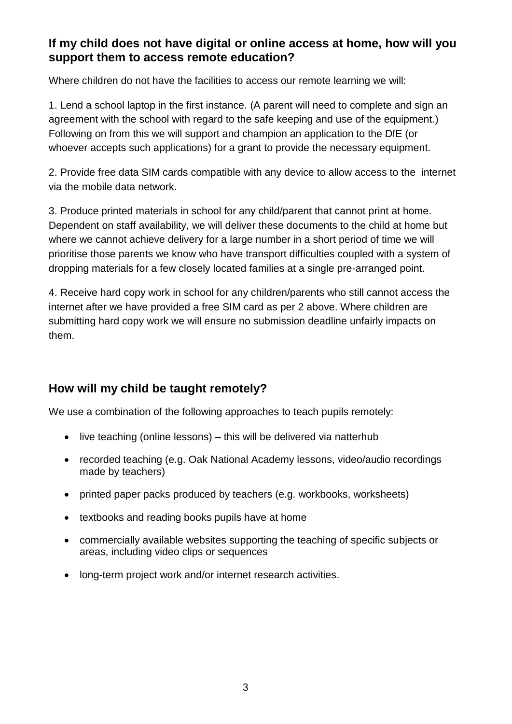#### **If my child does not have digital or online access at home, how will you support them to access remote education?**

Where children do not have the facilities to access our remote learning we will:

1. Lend a school laptop in the first instance. (A parent will need to complete and sign an agreement with the school with regard to the safe keeping and use of the equipment.) Following on from this we will support and champion an application to the DfE (or whoever accepts such applications) for a grant to provide the necessary equipment.

2. Provide free data SIM cards compatible with any device to allow access to the internet via the mobile data network.

3. Produce printed materials in school for any child/parent that cannot print at home. Dependent on staff availability, we will deliver these documents to the child at home but where we cannot achieve delivery for a large number in a short period of time we will prioritise those parents we know who have transport difficulties coupled with a system of dropping materials for a few closely located families at a single pre-arranged point.

4. Receive hard copy work in school for any children/parents who still cannot access the internet after we have provided a free SIM card as per 2 above. Where children are submitting hard copy work we will ensure no submission deadline unfairly impacts on them.

#### **How will my child be taught remotely?**

We use a combination of the following approaches to teach pupils remotely:

- $\bullet$  live teaching (online lessons) this will be delivered via natterhub
- recorded teaching (e.g. Oak National Academy lessons, video/audio recordings made by teachers)
- printed paper packs produced by teachers (e.g. workbooks, worksheets)
- textbooks and reading books pupils have at home
- commercially available websites supporting the teaching of specific subjects or areas, including video clips or sequences
- long-term project work and/or internet research activities.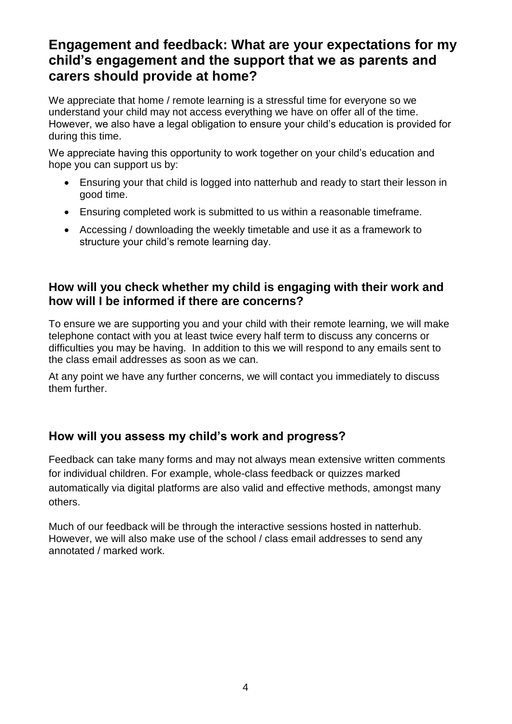### **Engagement and feedback: What are your expectations for my child's engagement and the support that we as parents and carers should provide at home?**

We appreciate that home / remote learning is a stressful time for everyone so we understand your child may not access everything we have on offer all of the time. However, we also have a legal obligation to ensure your child's education is provided for during this time.

We appreciate having this opportunity to work together on your child's education and hope you can support us by:

- Ensuring your that child is logged into natterhub and ready to start their lesson in good time.
- Ensuring completed work is submitted to us within a reasonable timeframe.
- Accessing / downloading the weekly timetable and use it as a framework to structure your child's remote learning day.

#### **How will you check whether my child is engaging with their work and how will I be informed if there are concerns?**

To ensure we are supporting you and your child with their remote learning, we will make telephone contact with you at least twice every half term to discuss any concerns or difficulties you may be having. In addition to this we will respond to any emails sent to the class email addresses as soon as we can.

At any point we have any further concerns, we will contact you immediately to discuss them further.

#### **How will you assess my child's work and progress?**

Feedback can take many forms and may not always mean extensive written comments for individual children. For example, whole-class feedback or quizzes marked automatically via digital platforms are also valid and effective methods, amongst many others.

Much of our feedback will be through the interactive sessions hosted in natterhub. However, we will also make use of the school / class email addresses to send any annotated / marked work.